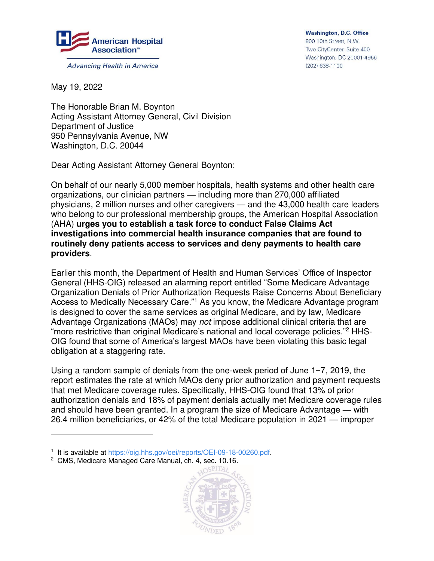

**Advancing Health in America** 

**Washington, D.C. Office** 800 10th Street, N.W. Two CityCenter, Suite 400 Washington, DC 20001-4956 (202) 638-1100

May 19, 2022

 $\overline{a}$ 

The Honorable Brian M. Boynton Acting Assistant Attorney General, Civil Division Department of Justice 950 Pennsylvania Avenue, NW Washington, D.C. 20044

Dear Acting Assistant Attorney General Boynton:

On behalf of our nearly 5,000 member hospitals, health systems and other health care organizations, our clinician partners — including more than 270,000 affiliated physicians, 2 million nurses and other caregivers — and the 43,000 health care leaders who belong to our professional membership groups, the American Hospital Association (AHA) **urges you to establish a task force to conduct False Claims Act investigations into commercial health insurance companies that are found to routinely deny patients access to services and deny payments to health care providers**.

Earlier this month, the Department of Health and Human Services' Office of Inspector General (HHS-OIG) released an alarming report entitled "Some Medicare Advantage Organization Denials of Prior Authorization Requests Raise Concerns About Beneficiary Access to Medically Necessary Care."<sup>1</sup> As you know, the Medicare Advantage program is designed to cover the same services as original Medicare, and by law, Medicare Advantage Organizations (MAOs) may not impose additional clinical criteria that are "more restrictive than original Medicare's national and local coverage policies."<sup>2</sup> HHS-OIG found that some of America's largest MAOs have been violating this basic legal obligation at a staggering rate.

Using a random sample of denials from the one-week period of June 1−7, 2019, the report estimates the rate at which MAOs deny prior authorization and payment requests that met Medicare coverage rules. Specifically, HHS-OIG found that 13% of prior authorization denials and 18% of payment denials actually met Medicare coverage rules and should have been granted. In a program the size of Medicare Advantage — with 26.4 million beneficiaries, or 42% of the total Medicare population in 2021 — improper

<sup>2</sup> CMS, Medicare Managed Care Manual, ch. 4, sec. 10.16.



<sup>&</sup>lt;sup>1</sup> It is available at [https://oig.hhs.gov/oei/reports/OEI-09-18-00260.pdf.](https://oig.hhs.gov/oei/reports/OEI-09-18-00260.pdf)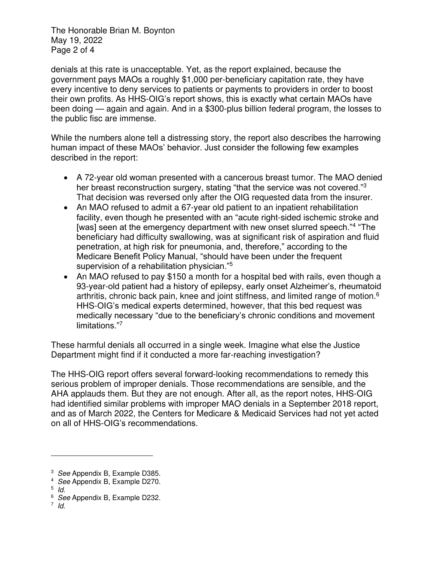The Honorable Brian M. Boynton May 19, 2022 Page 2 of 4

denials at this rate is unacceptable. Yet, as the report explained, because the government pays MAOs a roughly \$1,000 per-beneficiary capitation rate, they have every incentive to deny services to patients or payments to providers in order to boost their own profits. As HHS-OIG's report shows, this is exactly what certain MAOs have been doing — again and again. And in a \$300-plus billion federal program, the losses to the public fisc are immense.

While the numbers alone tell a distressing story, the report also describes the harrowing human impact of these MAOs' behavior. Just consider the following few examples described in the report:

- A 72-year old woman presented with a cancerous breast tumor. The MAO denied her breast reconstruction surgery, stating "that the service was not covered."<sup>3</sup> That decision was reversed only after the OIG requested data from the insurer.
- An MAO refused to admit a 67-year old patient to an inpatient rehabilitation facility, even though he presented with an "acute right-sided ischemic stroke and [was] seen at the emergency department with new onset slurred speech."<sup>4</sup> "The beneficiary had difficulty swallowing, was at significant risk of aspiration and fluid penetration, at high risk for pneumonia, and, therefore," according to the Medicare Benefit Policy Manual, "should have been under the frequent supervision of a rehabilitation physician."<sup>5</sup>
- An MAO refused to pay \$150 a month for a hospital bed with rails, even though a 93-year-old patient had a history of epilepsy, early onset Alzheimer's, rheumatoid arthritis, chronic back pain, knee and joint stiffness, and limited range of motion.<sup>6</sup> HHS-OIG's medical experts determined, however, that this bed request was medically necessary "due to the beneficiary's chronic conditions and movement limitations."<sup>7</sup>

These harmful denials all occurred in a single week. Imagine what else the Justice Department might find if it conducted a more far-reaching investigation?

The HHS-OIG report offers several forward-looking recommendations to remedy this serious problem of improper denials. Those recommendations are sensible, and the AHA applauds them. But they are not enough. After all, as the report notes, HHS-OIG had identified similar problems with improper MAO denials in a September 2018 report, and as of March 2022, the Centers for Medicare & Medicaid Services had not yet acted on all of HHS-OIG's recommendations.

 $\overline{a}$ 

<sup>&</sup>lt;sup>3</sup> See Appendix B, Example D385.

<sup>4</sup> See Appendix B, Example D270.

<sup>5</sup> Id.

<sup>&</sup>lt;sup>6</sup> See Appendix B, Example D232.

<sup>7</sup> Id.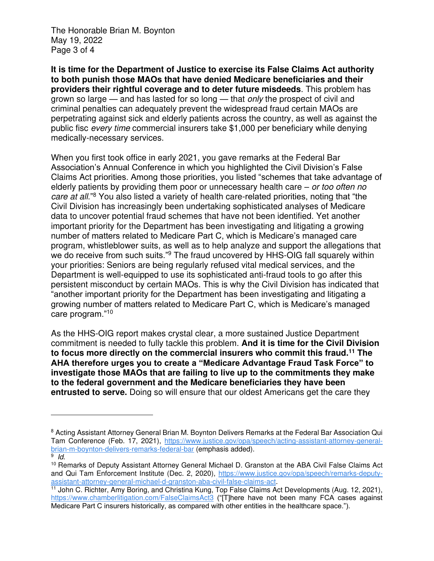The Honorable Brian M. Boynton May 19, 2022 Page 3 of 4

 $\overline{a}$ 

**It is time for the Department of Justice to exercise its False Claims Act authority to both punish those MAOs that have denied Medicare beneficiaries and their providers their rightful coverage and to deter future misdeeds**. This problem has grown so large — and has lasted for so long — that *only* the prospect of civil and criminal penalties can adequately prevent the widespread fraud certain MAOs are perpetrating against sick and elderly patients across the country, as well as against the public fisc every time commercial insurers take \$1,000 per beneficiary while denying medically-necessary services.

When you first took office in early 2021, you gave remarks at the Federal Bar Association's Annual Conference in which you highlighted the Civil Division's False Claims Act priorities. Among those priorities, you listed "schemes that take advantage of elderly patients by providing them poor or unnecessary health care  $-$  or too often no care at all."<sup>8</sup> You also listed a variety of health care-related priorities, noting that "the Civil Division has increasingly been undertaking sophisticated analyses of Medicare data to uncover potential fraud schemes that have not been identified. Yet another important priority for the Department has been investigating and litigating a growing number of matters related to Medicare Part C, which is Medicare's managed care program, whistleblower suits, as well as to help analyze and support the allegations that we do receive from such suits."<sup>9</sup> The fraud uncovered by HHS-OIG fall squarely within your priorities: Seniors are being regularly refused vital medical services, and the Department is well-equipped to use its sophisticated anti-fraud tools to go after this persistent misconduct by certain MAOs. This is why the Civil Division has indicated that "another important priority for the Department has been investigating and litigating a growing number of matters related to Medicare Part C, which is Medicare's managed care program."<sup>10</sup>

As the HHS-OIG report makes crystal clear, a more sustained Justice Department commitment is needed to fully tackle this problem. **And it is time for the Civil Division to focus more directly on the commercial insurers who commit this fraud.<sup>11</sup> The AHA therefore urges you to create a "Medicare Advantage Fraud Task Force" to investigate those MAOs that are failing to live up to the commitments they make to the federal government and the Medicare beneficiaries they have been entrusted to serve.** Doing so will ensure that our oldest Americans get the care they

<sup>&</sup>lt;sup>8</sup> Acting Assistant Attorney General Brian M. Boynton Delivers Remarks at the Federal Bar Association Qui Tam Conference (Feb. 17, 2021), [https://www.justice.gov/opa/speech/acting-assistant-attorney-general](https://www.justice.gov/opa/speech/acting-assistant-attorney-general-brian-m-boynton-delivers-remarks-federal-bar)[brian-m-boynton-delivers-remarks-federal-bar](https://www.justice.gov/opa/speech/acting-assistant-attorney-general-brian-m-boynton-delivers-remarks-federal-bar) (emphasis added). <sup>9</sup> Id.

<sup>10</sup> Remarks of Deputy Assistant Attorney General Michael D. Granston at the ABA Civil False Claims Act and Qui Tam Enforcement Institute (Dec. 2, 2020), [https://www.justice.gov/opa/speech/remarks-deputy](https://www.justice.gov/opa/speech/remarks-deputy-assistant-attorney-general-michael-d-granston-aba-civil-false-claims-act)[assistant-attorney-general-michael-d-granston-aba-civil-false-claims-act.](https://www.justice.gov/opa/speech/remarks-deputy-assistant-attorney-general-michael-d-granston-aba-civil-false-claims-act)

<sup>11</sup> John C. Richter, Amy Boring, and Christina Kung, Top False Claims Act Developments (Aug. 12, 2021), <https://www.chamberlitigation.com/FalseClaimsAct3> ("[T]here have not been many FCA cases against Medicare Part C insurers historically, as compared with other entities in the healthcare space.").